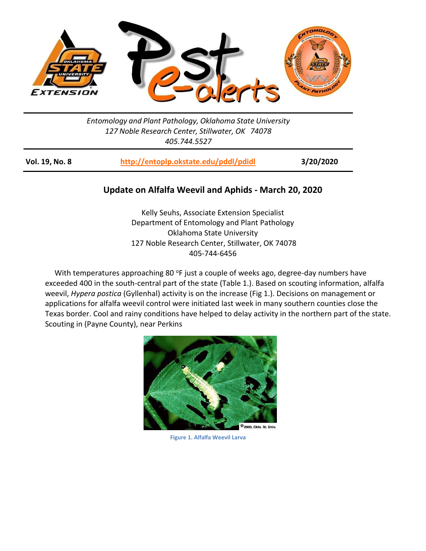

## *Entomology and Plant Pathology, Oklahoma State University 127 Noble Research Center, Stillwater, OK 74078 405.744.5527*

| Vol. 19, No. 8 | http://entoplp.okstate.edu/pddl/pdidl | 3/20/2020 |
|----------------|---------------------------------------|-----------|
|----------------|---------------------------------------|-----------|

## **Update on Alfalfa Weevil and Aphids - March 20, 2020**

Kelly Seuhs, Associate Extension Specialist Department of Entomology and Plant Pathology Oklahoma State University 127 Noble Research Center, Stillwater, OK 74078 405-744-6456

With temperatures approaching 80 °F just a couple of weeks ago, degree-day numbers have exceeded 400 in the south-central part of the state (Table 1.). Based on scouting information, alfalfa weevil, *Hypera postica* (Gyllenhal) activity is on the increase (Fig 1.). Decisions on management or applications for alfalfa weevil control were initiated last week in many southern counties close the Texas border. Cool and rainy conditions have helped to delay activity in the northern part of the state. Scouting in (Payne County), near Perkins



**Figure 1. Alfalfa Weevil Larva**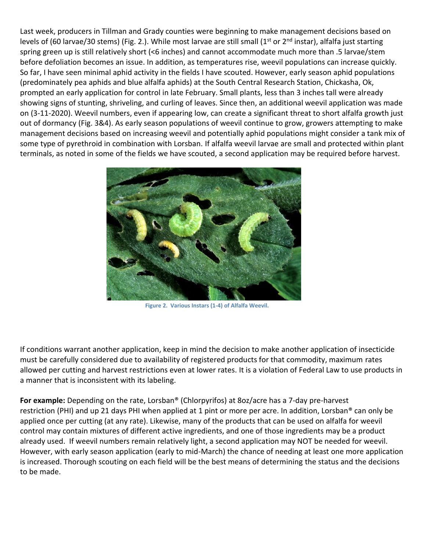Last week, producers in Tillman and Grady counties were beginning to make management decisions based on levels of (60 larvae/30 stems) (Fig. 2.). While most larvae are still small (1<sup>st</sup> or 2<sup>nd</sup> instar), alfalfa just starting spring green up is still relatively short (<6 inches) and cannot accommodate much more than .5 larvae/stem before defoliation becomes an issue. In addition, as temperatures rise, weevil populations can increase quickly. So far, I have seen minimal aphid activity in the fields I have scouted. However, early season aphid populations (predominately pea aphids and blue alfalfa aphids) at the South Central Research Station, Chickasha, Ok, prompted an early application for control in late February. Small plants, less than 3 inches tall were already showing signs of stunting, shriveling, and curling of leaves. Since then, an additional weevil application was made on (3-11-2020). Weevil numbers, even if appearing low, can create a significant threat to short alfalfa growth just out of dormancy (Fig. 3&4). As early season populations of weevil continue to grow, growers attempting to make management decisions based on increasing weevil and potentially aphid populations might consider a tank mix of some type of pyrethroid in combination with Lorsban. If alfalfa weevil larvae are small and protected within plant terminals, as noted in some of the fields we have scouted, a second application may be required before harvest.



**Figure 2. Various Instars (1-4) of Alfalfa Weevil.**

If conditions warrant another application, keep in mind the decision to make another application of insecticide must be carefully considered due to availability of registered products for that commodity, maximum rates allowed per cutting and harvest restrictions even at lower rates. It is a violation of Federal Law to use products in a manner that is inconsistent with its labeling.

**For example:** Depending on the rate, Lorsban® (Chlorpyrifos) at 8oz/acre has a 7‐day pre-harvest restriction (PHI) and up 21 days PHI when applied at 1 pint or more per acre. In addition, Lorsban® can only be applied once per cutting (at any rate). Likewise, many of the products that can be used on alfalfa for weevil control may contain mixtures of different active ingredients, and one of those ingredients may be a product already used. If weevil numbers remain relatively light, a second application may NOT be needed for weevil. However, with early season application (early to mid-March) the chance of needing at least one more application is increased. Thorough scouting on each field will be the best means of determining the status and the decisions to be made.